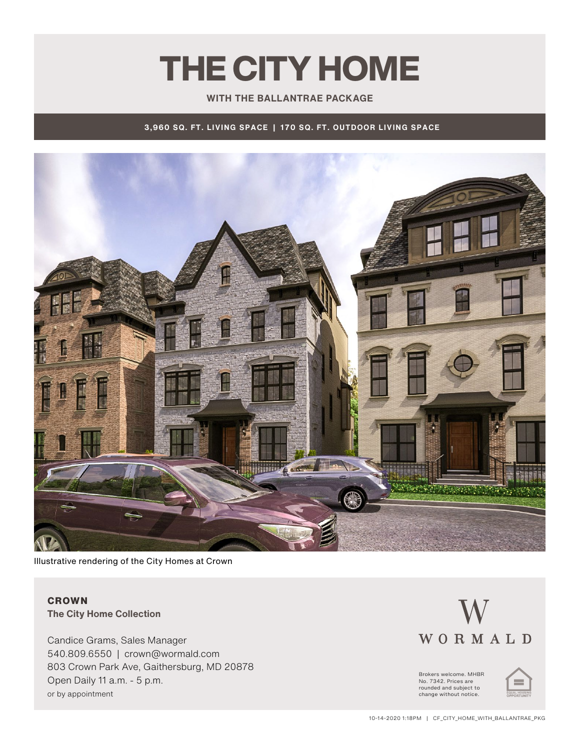# THE CITY HOME

### **WITH THE BALLANTRAE PACKAGE**

**3,960 SQ. FT. LIVING SPACE | 170 SQ. FT. OUTDOOR LIVING SPACE**



Illustrative rendering of the City Homes at Crown

## **CROWN The City Home Collection**

Candice Grams, Sales Manager 540.809.6550 | crown@wormald.com 803 Crown Park Ave, Gaithersburg, MD 20878 Open Daily 11 a.m. - 5 p.m. or by appointment

# WORMALD

Brokers welcome. MHBR No. 7342. Prices are rounded and subject to change without notice.

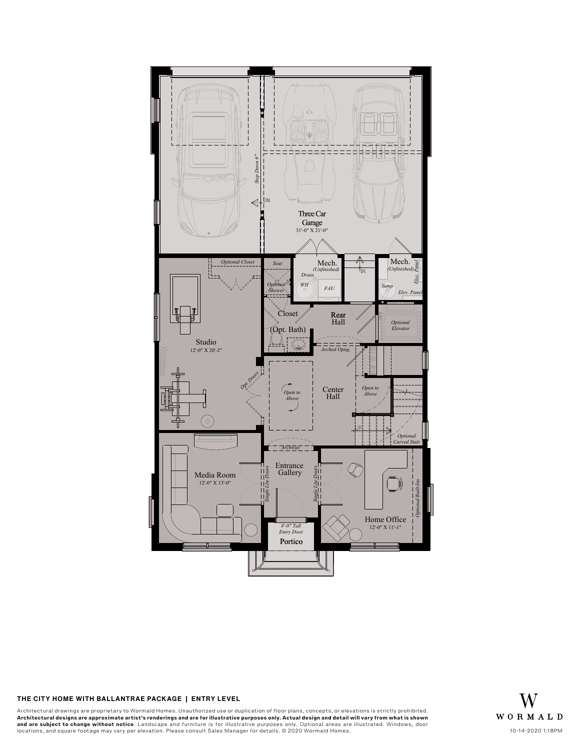

### **THE CITY HOME WITH BALLANTRAE PACKAGE | Entry Level** THE CITY HOME WITH BALLANTRAE PACKAGE - ENTRY LEVEL

Architectural drawings are proprietary to Wormald Homes. Unauthorized use or duplication of floor plans, concepts, or elevations is strictly prohibited.<br>**Architectural designs are approximate artist's renderings and are fo** Architectural designs are approximate artist's renderings and are for illustrative purposes or<br>And are subject to change without notice. Landscape and furniture is for illustrative purposes or<br>and are subject to change wit

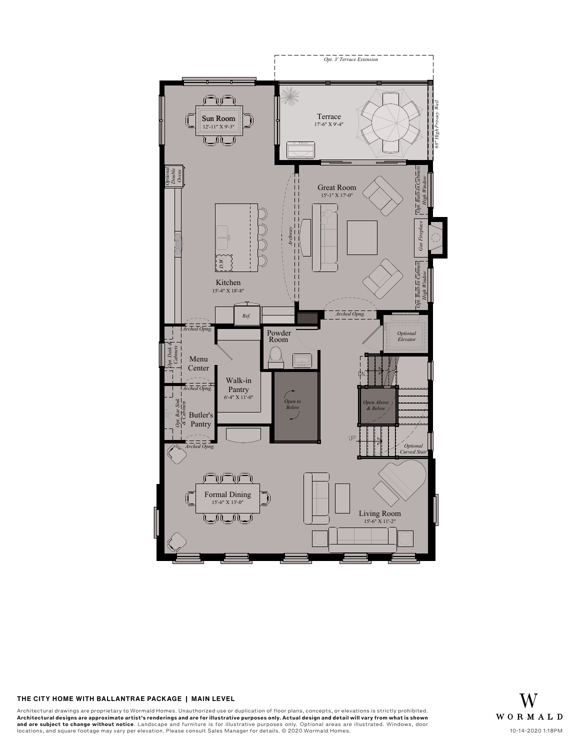

### THE CITY HOME WITH BALLANTRAE PACKAGE | MAIN LEVEL

Architectural drawings are proprietary to Wormald Homes. Unauthorized use or duplication of floor plans, concepts, or elevations is strictly prohibited.<br>**Architectural designs are approximate artist's renderings and are fo** Architectural designs are approximate artist's renderings and are for illustrative purposes or<br>And are subject to change without notice. Landscape and furniture is for illustrative purposes or<br>and are subject to change wit